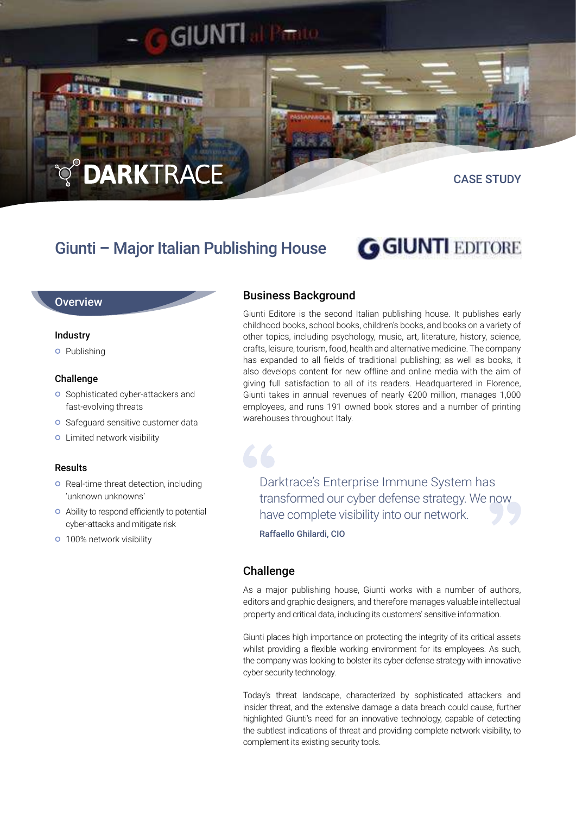# **DARKTRACE**

CASE STUDY

# Giunti – Major Italian Publishing House

**GIUNTI** 

# **GGIUNTI EDITORE**

### **Overview**

#### Industry

**o** Publishing

#### Challenge

- **o** Sophisticated cyber-attackers and fast-evolving threats
- **O** Safeguard sensitive customer data
- **o** Limited network visibility

#### Results

- **o** Real-time threat detection, including 'unknown unknowns'
- Ability to respond efficiently to potential cyber-attacks and mitigate risk
- **o** 100% network visibility

# Business Background

Giunti Editore is the second Italian publishing house. It publishes early childhood books, school books, children's books, and books on a variety of other topics, including psychology, music, art, literature, history, science, crafts, leisure, tourism, food, health and alternative medicine. The company has expanded to all fields of traditional publishing; as well as books, it also develops content for new offline and online media with the aim of giving full satisfaction to all of its readers. Headquartered in Florence, Giunti takes in annual revenues of nearly €200 million, manages 1,000 employees, and runs 191 owned book stores and a number of printing warehouses throughout Italy.

Darktrace's Enterprise Immune System has transformed our cyber defense strategy. We now have complete visibility into our network.

Raffaello Ghilardi, CIO

# **Challenge**

66

As a major publishing house. Giunti works with a number of authors, editors and graphic designers, and therefore manages valuable intellectual property and critical data, including its customers' sensitive information.

Giunti places high importance on protecting the integrity of its critical assets whilst providing a flexible working environment for its employees. As such, the company was looking to bolster its cyber defense strategy with innovative cyber security technology.

Today's threat landscape, characterized by sophisticated attackers and insider threat, and the extensive damage a data breach could cause, further highlighted Giunti's need for an innovative technology, capable of detecting the subtlest indications of threat and providing complete network visibility, to complement its existing security tools.